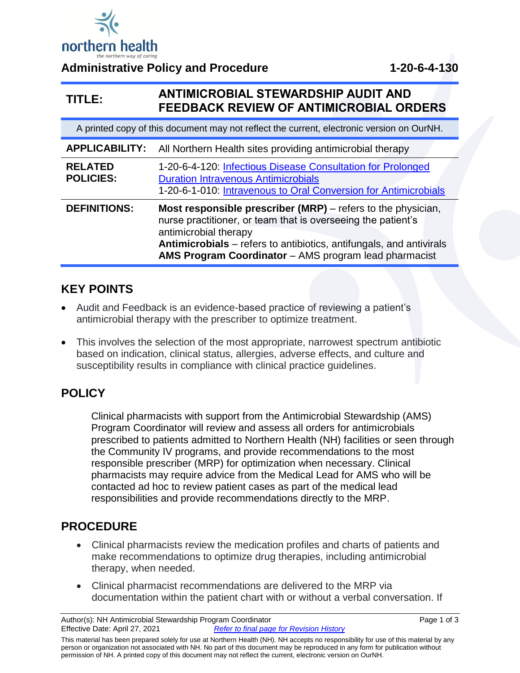

**Administrative Policy and Procedure 1-20-6-4-130**

#### **TITLE: ANTIMICROBIAL STEWARDSHIP AUDIT AND FEEDBACK REVIEW OF ANTIMICROBIAL ORDERS**

| A printed copy of this document may not reflect the current, electronic version on OurNH. |                                                                                                                                                                                                                                                                                                     |  |  |  |
|-------------------------------------------------------------------------------------------|-----------------------------------------------------------------------------------------------------------------------------------------------------------------------------------------------------------------------------------------------------------------------------------------------------|--|--|--|
|                                                                                           | <b>APPLICABILITY:</b> All Northern Health sites providing antimicrobial therapy                                                                                                                                                                                                                     |  |  |  |
| <b>RELATED</b><br><b>POLICIES:</b>                                                        | 1-20-6-4-120: Infectious Disease Consultation for Prolonged<br><b>Duration Intravenous Antimicrobials</b><br>1-20-6-1-010: Intravenous to Oral Conversion for Antimicrobials                                                                                                                        |  |  |  |
| <b>DEFINITIONS:</b>                                                                       | <b>Most responsible prescriber (MRP)</b> – refers to the physician,<br>nurse practitioner, or team that is overseeing the patient's<br>antimicrobial therapy<br>Antimicrobials – refers to antibiotics, antifungals, and antivirals<br><b>AMS Program Coordinator</b> – AMS program lead pharmacist |  |  |  |

#### **KEY POINTS**

- Audit and Feedback is an evidence-based practice of reviewing a patient's antimicrobial therapy with the prescriber to optimize treatment.
- This involves the selection of the most appropriate, narrowest spectrum antibiotic based on indication, clinical status, allergies, adverse effects, and culture and susceptibility results in compliance with clinical practice guidelines.

# **POLICY**

Clinical pharmacists with support from the Antimicrobial Stewardship (AMS) Program Coordinator will review and assess all orders for antimicrobials prescribed to patients admitted to Northern Health (NH) facilities or seen through the Community IV programs, and provide recommendations to the most responsible prescriber (MRP) for optimization when necessary. Clinical pharmacists may require advice from the Medical Lead for AMS who will be contacted ad hoc to review patient cases as part of the medical lead responsibilities and provide recommendations directly to the MRP.

### **PROCEDURE**

- Clinical pharmacists review the medication profiles and charts of patients and make recommendations to optimize drug therapies, including antimicrobial therapy, when needed.
- Clinical pharmacist recommendations are delivered to the MRP via documentation within the patient chart with or without a verbal conversation. If

This material has been prepared solely for use at Northern Health (NH). NH accepts no responsibility for use of this material by any person or organization not associated with NH. No part of this document may be reproduced in any form for publication without permission of NH. A printed copy of this document may not reflect the current, electronic version on OurNH.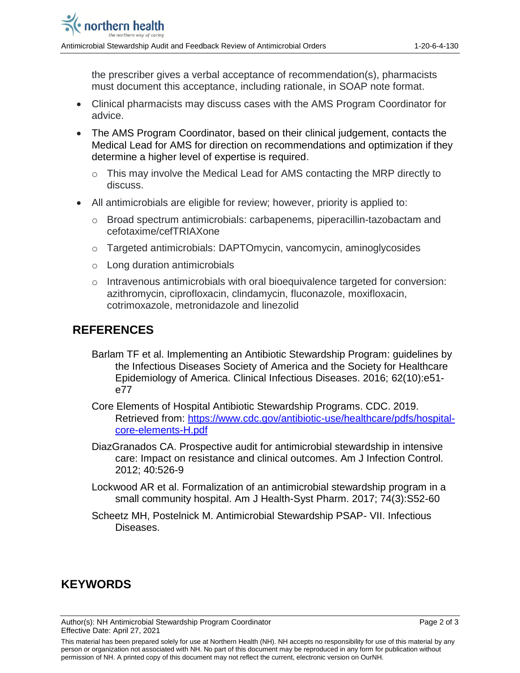the prescriber gives a verbal acceptance of recommendation(s), pharmacists must document this acceptance, including rationale, in SOAP note format.

- Clinical pharmacists may discuss cases with the AMS Program Coordinator for advice.
- The AMS Program Coordinator, based on their clinical judgement, contacts the Medical Lead for AMS for direction on recommendations and optimization if they determine a higher level of expertise is required.
	- o This may involve the Medical Lead for AMS contacting the MRP directly to discuss.
- All antimicrobials are eligible for review; however, priority is applied to:
	- o Broad spectrum antimicrobials: carbapenems, piperacillin-tazobactam and cefotaxime/cefTRIAXone
	- o Targeted antimicrobials: DAPTOmycin, vancomycin, aminoglycosides
	- o Long duration antimicrobials
	- o Intravenous antimicrobials with oral bioequivalence targeted for conversion: azithromycin, ciprofloxacin, clindamycin, fluconazole, moxifloxacin, cotrimoxazole, metronidazole and linezolid

#### **REFERENCES**

- Barlam TF et al. Implementing an Antibiotic Stewardship Program: guidelines by the Infectious Diseases Society of America and the Society for Healthcare Epidemiology of America. Clinical Infectious Diseases. 2016; 62(10):e51 e77
- Core Elements of Hospital Antibiotic Stewardship Programs. CDC. 2019. Retrieved from: [https://www.cdc.gov/antibiotic-use/healthcare/pdfs/hospital](https://www.cdc.gov/antibiotic-use/healthcare/pdfs/hospital-core-elements-H.pdf)[core-elements-H.pdf](https://www.cdc.gov/antibiotic-use/healthcare/pdfs/hospital-core-elements-H.pdf)
- DiazGranados CA. Prospective audit for antimicrobial stewardship in intensive care: Impact on resistance and clinical outcomes. Am J Infection Control. 2012; 40:526-9
- Lockwood AR et al. Formalization of an antimicrobial stewardship program in a small community hospital. Am J Health-Syst Pharm. 2017; 74(3):S52-60
- Scheetz MH, Postelnick M. Antimicrobial Stewardship PSAP- VII. Infectious Diseases.

## **KEYWORDS**

Author(s): NH Antimicrobial Stewardship Program Coordinator **Page 2 of 3** Page 2 of 3 Effective Date: April 27, 2021